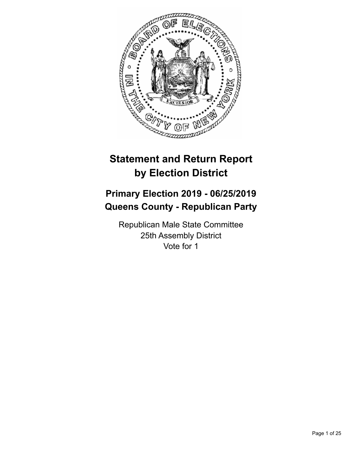

# **Statement and Return Report by Election District**

# **Primary Election 2019 - 06/25/2019 Queens County - Republican Party**

Republican Male State Committee 25th Assembly District Vote for 1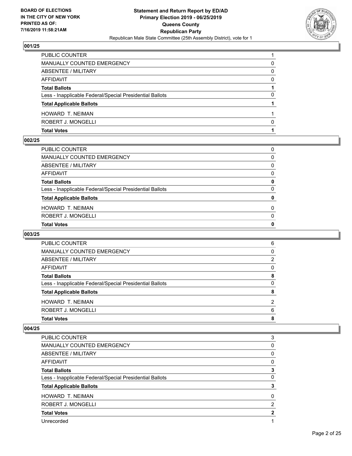

| <b>HOWARD T. NEIMAN</b>                                  |   |
|----------------------------------------------------------|---|
| <b>Total Applicable Ballots</b>                          |   |
| Less - Inapplicable Federal/Special Presidential Ballots | 0 |
| <b>Total Ballots</b>                                     |   |
| AFFIDAVIT                                                | 0 |
| <b>ABSENTEE / MILITARY</b>                               | 0 |
| MANUALLY COUNTED EMERGENCY                               | 0 |
| PUBLIC COUNTER                                           |   |

#### **002/25**

| PUBLIC COUNTER                                           | 0            |
|----------------------------------------------------------|--------------|
| MANUALLY COUNTED EMERGENCY                               | $\Omega$     |
| ABSENTEE / MILITARY                                      | $\Omega$     |
| AFFIDAVIT                                                | $\Omega$     |
| <b>Total Ballots</b>                                     | 0            |
| Less - Inapplicable Federal/Special Presidential Ballots | $\mathbf{0}$ |
| <b>Total Applicable Ballots</b>                          | 0            |
| HOWARD T. NEIMAN                                         | 0            |
| ROBERT J. MONGELLI                                       | $\Omega$     |
| <b>Total Votes</b>                                       | 0            |
|                                                          |              |

## **003/25**

| <b>Total Votes</b>                                       | 8 |
|----------------------------------------------------------|---|
| ROBERT J. MONGELLI                                       | 6 |
| <b>HOWARD T. NEIMAN</b>                                  | 2 |
| <b>Total Applicable Ballots</b>                          | 8 |
| Less - Inapplicable Federal/Special Presidential Ballots | 0 |
| <b>Total Ballots</b>                                     | 8 |
| AFFIDAVIT                                                | 0 |
| ABSENTEE / MILITARY                                      | 2 |
| <b>MANUALLY COUNTED EMERGENCY</b>                        | 0 |
| <b>PUBLIC COUNTER</b>                                    | 6 |

| <b>PUBLIC COUNTER</b>                                    | 3 |
|----------------------------------------------------------|---|
| <b>MANUALLY COUNTED EMERGENCY</b>                        | 0 |
| ABSENTEE / MILITARY                                      | 0 |
| AFFIDAVIT                                                | 0 |
| <b>Total Ballots</b>                                     | 3 |
| Less - Inapplicable Federal/Special Presidential Ballots | 0 |
| <b>Total Applicable Ballots</b>                          | 3 |
| <b>HOWARD T. NEIMAN</b>                                  | 0 |
| ROBERT J. MONGELLI                                       | 2 |
| <b>Total Votes</b>                                       | 2 |
| Unrecorded                                               | 1 |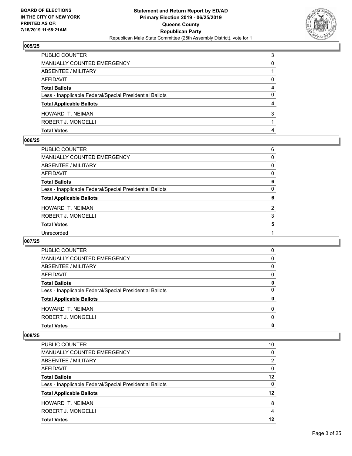

| <b>Total Votes</b>                                       | 4 |
|----------------------------------------------------------|---|
| ROBERT J. MONGELLI                                       |   |
| HOWARD T. NEIMAN                                         | 3 |
| <b>Total Applicable Ballots</b>                          | 4 |
| Less - Inapplicable Federal/Special Presidential Ballots | 0 |
| <b>Total Ballots</b>                                     | 4 |
| <b>AFFIDAVIT</b>                                         | 0 |
| ABSENTEE / MILITARY                                      |   |
| MANUALLY COUNTED EMERGENCY                               | 0 |
| <b>PUBLIC COUNTER</b>                                    | 3 |

#### **006/25**

| PUBLIC COUNTER                                           | 6            |
|----------------------------------------------------------|--------------|
| MANUALLY COUNTED EMERGENCY                               | 0            |
| <b>ABSENTEE / MILITARY</b>                               | 0            |
| AFFIDAVIT                                                | 0            |
| <b>Total Ballots</b>                                     | 6            |
| Less - Inapplicable Federal/Special Presidential Ballots | $\mathbf{0}$ |
| <b>Total Applicable Ballots</b>                          | 6            |
| HOWARD T. NEIMAN                                         | 2            |
| ROBERT J. MONGELLI                                       | 3            |
| <b>Total Votes</b>                                       | 5            |
| Unrecorded                                               |              |
|                                                          |              |

## **007/25**

| <b>PUBLIC COUNTER</b>                                    | 0        |
|----------------------------------------------------------|----------|
| MANUALLY COUNTED EMERGENCY                               | 0        |
| ABSENTEE / MILITARY                                      | 0        |
| AFFIDAVIT                                                | 0        |
| <b>Total Ballots</b>                                     | 0        |
| Less - Inapplicable Federal/Special Presidential Ballots | 0        |
| <b>Total Applicable Ballots</b>                          | 0        |
| HOWARD T. NEIMAN                                         | 0        |
| ROBERT J. MONGELLI                                       | $\Omega$ |
| <b>Total Votes</b>                                       | 0        |

| PUBLIC COUNTER                                           | 10       |
|----------------------------------------------------------|----------|
| <b>MANUALLY COUNTED EMERGENCY</b>                        | 0        |
| ABSENTEE / MILITARY                                      | 2        |
| AFFIDAVIT                                                | $\Omega$ |
| <b>Total Ballots</b>                                     | 12       |
| Less - Inapplicable Federal/Special Presidential Ballots | 0        |
| <b>Total Applicable Ballots</b>                          | 12       |
| HOWARD T. NEIMAN                                         | 8        |
| ROBERT J. MONGELLI                                       | 4        |
| <b>Total Votes</b>                                       | 12       |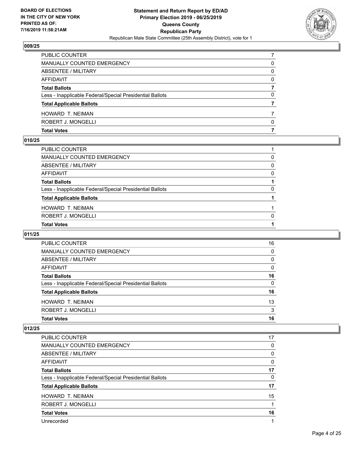

| <b>Total Votes</b>                                       |   |
|----------------------------------------------------------|---|
| ROBERT J. MONGELLI                                       | 0 |
| HOWARD T. NEIMAN                                         |   |
| <b>Total Applicable Ballots</b>                          |   |
| Less - Inapplicable Federal/Special Presidential Ballots | 0 |
| <b>Total Ballots</b>                                     |   |
| AFFIDAVIT                                                | 0 |
| ABSENTEE / MILITARY                                      | 0 |
| <b>MANUALLY COUNTED EMERGENCY</b>                        | 0 |
| <b>PUBLIC COUNTER</b>                                    |   |

#### **010/25**

| PUBLIC COUNTER                                           |          |
|----------------------------------------------------------|----------|
| MANUALLY COUNTED EMERGENCY                               | 0        |
| ABSENTEE / MILITARY                                      | $\Omega$ |
| AFFIDAVIT                                                | 0        |
| Total Ballots                                            |          |
| Less - Inapplicable Federal/Special Presidential Ballots | $\Omega$ |
| <b>Total Applicable Ballots</b>                          |          |
| HOWARD T. NEIMAN                                         |          |
| ROBERT J. MONGELLI                                       | $\Omega$ |
| <b>Total Votes</b>                                       |          |
|                                                          |          |

# **011/25**

| <b>PUBLIC COUNTER</b>                                    | 16       |
|----------------------------------------------------------|----------|
| MANUALLY COUNTED EMERGENCY                               | 0        |
| ABSENTEE / MILITARY                                      | $\Omega$ |
| AFFIDAVIT                                                | $\Omega$ |
| <b>Total Ballots</b>                                     | 16       |
| Less - Inapplicable Federal/Special Presidential Ballots | $\Omega$ |
| <b>Total Applicable Ballots</b>                          | 16       |
| HOWARD T. NEIMAN                                         | 13       |
| ROBERT J. MONGELLI                                       | 3        |
| <b>Total Votes</b>                                       | 16       |
|                                                          |          |

| <b>PUBLIC COUNTER</b>                                    | 17 |
|----------------------------------------------------------|----|
| <b>MANUALLY COUNTED EMERGENCY</b>                        | 0  |
| ABSENTEE / MILITARY                                      | 0  |
| AFFIDAVIT                                                | 0  |
| <b>Total Ballots</b>                                     | 17 |
| Less - Inapplicable Federal/Special Presidential Ballots | 0  |
| <b>Total Applicable Ballots</b>                          | 17 |
| <b>HOWARD T. NEIMAN</b>                                  | 15 |
| ROBERT J. MONGELLI                                       | 1  |
| <b>Total Votes</b>                                       | 16 |
| Unrecorded                                               | 1  |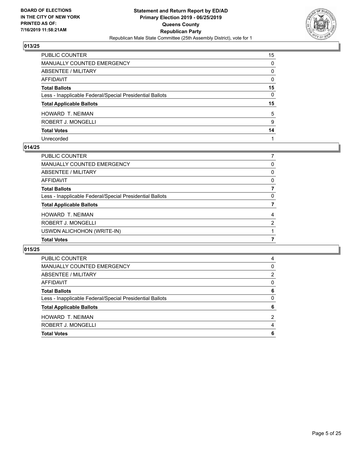

| PUBLIC COUNTER                                           | 15 |
|----------------------------------------------------------|----|
| MANUALLY COUNTED EMERGENCY                               | 0  |
| <b>ABSENTEE / MILITARY</b>                               | 0  |
| AFFIDAVIT                                                | 0  |
| Total Ballots                                            | 15 |
| Less - Inapplicable Federal/Special Presidential Ballots | 0  |
| <b>Total Applicable Ballots</b>                          | 15 |
| HOWARD T. NEIMAN                                         | 5  |
| ROBERT J. MONGELLI                                       | 9  |
| <b>Total Votes</b>                                       | 14 |
| Unrecorded                                               |    |

#### **014/25**

| PUBLIC COUNTER                                           |          |
|----------------------------------------------------------|----------|
| <b>MANUALLY COUNTED EMERGENCY</b>                        | 0        |
| <b>ABSENTEE / MILITARY</b>                               | $\Omega$ |
| AFFIDAVIT                                                | 0        |
| <b>Total Ballots</b>                                     |          |
| Less - Inapplicable Federal/Special Presidential Ballots | 0        |
| <b>Total Applicable Ballots</b>                          |          |
| HOWARD T. NEIMAN                                         | 4        |
| ROBERT J. MONGELLI                                       | 2        |
| USWDN ALICHOHON (WRITE-IN)                               |          |
| <b>Total Votes</b>                                       |          |

| PUBLIC COUNTER                                           | 4        |
|----------------------------------------------------------|----------|
| MANUALLY COUNTED EMERGENCY                               | 0        |
| ABSENTEE / MILITARY                                      | 2        |
| AFFIDAVIT                                                | 0        |
| <b>Total Ballots</b>                                     | 6        |
| Less - Inapplicable Federal/Special Presidential Ballots | $\Omega$ |
| <b>Total Applicable Ballots</b>                          | 6        |
| <b>HOWARD T. NEIMAN</b>                                  | 2        |
| ROBERT J. MONGELLI                                       | 4        |
| <b>Total Votes</b>                                       | 6        |
|                                                          |          |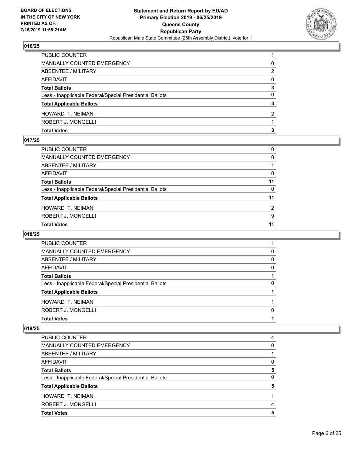

| ROBERT J. MONGELLI                                       |               |
|----------------------------------------------------------|---------------|
| <b>HOWARD T. NEIMAN</b>                                  | $\mathcal{P}$ |
| <b>Total Applicable Ballots</b>                          | 3             |
| Less - Inapplicable Federal/Special Presidential Ballots | 0             |
| <b>Total Ballots</b>                                     | 3             |
| AFFIDAVIT                                                | 0             |
| ABSENTEE / MILITARY                                      | 2             |
| MANUALLY COUNTED EMERGENCY                               | 0             |
| PUBLIC COUNTER                                           |               |

## **017/25**

| PUBLIC COUNTER                                           | 10 |
|----------------------------------------------------------|----|
| <b>MANUALLY COUNTED EMERGENCY</b>                        | 0  |
| <b>ABSENTEE / MILITARY</b>                               |    |
| AFFIDAVIT                                                | 0  |
| <b>Total Ballots</b>                                     | 11 |
| Less - Inapplicable Federal/Special Presidential Ballots | 0  |
| <b>Total Applicable Ballots</b>                          | 11 |
| HOWARD T. NEIMAN                                         | 2  |
| ROBERT J. MONGELLI                                       | 9  |
| <b>Total Votes</b>                                       | 11 |
|                                                          |    |

## **018/25**

| PUBLIC COUNTER                                           |   |
|----------------------------------------------------------|---|
| MANUALLY COUNTED EMERGENCY                               | 0 |
| ABSENTEE / MILITARY                                      | 0 |
| AFFIDAVIT                                                | 0 |
| <b>Total Ballots</b>                                     |   |
| Less - Inapplicable Federal/Special Presidential Ballots | 0 |
| <b>Total Applicable Ballots</b>                          |   |
| <b>HOWARD T. NEIMAN</b>                                  |   |
| ROBERT J. MONGELLI                                       | 0 |
| <b>Total Votes</b>                                       |   |
|                                                          |   |

| PUBLIC COUNTER                                           | 4 |
|----------------------------------------------------------|---|
| MANUALLY COUNTED EMERGENCY                               | 0 |
| ABSENTEE / MILITARY                                      |   |
| AFFIDAVIT                                                | 0 |
| <b>Total Ballots</b>                                     | 5 |
| Less - Inapplicable Federal/Special Presidential Ballots | 0 |
| <b>Total Applicable Ballots</b>                          | 5 |
| <b>HOWARD T. NEIMAN</b>                                  |   |
| ROBERT J. MONGELLI                                       | 4 |
| <b>Total Votes</b>                                       | 5 |
|                                                          |   |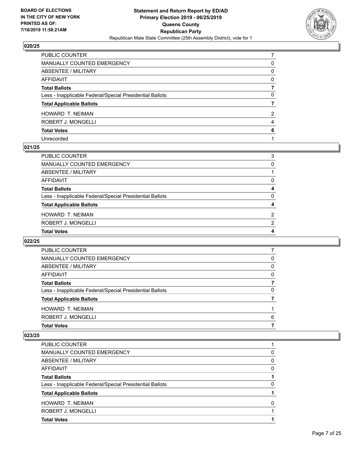

| PUBLIC COUNTER                                           |              |
|----------------------------------------------------------|--------------|
| MANUALLY COUNTED EMERGENCY                               | 0            |
| <b>ABSENTEE / MILITARY</b>                               | $\mathbf{0}$ |
| AFFIDAVIT                                                | $\Omega$     |
| Total Ballots                                            |              |
| Less - Inapplicable Federal/Special Presidential Ballots | 0            |
| <b>Total Applicable Ballots</b>                          |              |
| HOWARD T. NEIMAN                                         | 2            |
| ROBERT J. MONGELLI                                       | 4            |
| <b>Total Votes</b>                                       | 6            |
| Unrecorded                                               |              |

#### **021/25**

| PUBLIC COUNTER                                           | 3             |
|----------------------------------------------------------|---------------|
| <b>MANUALLY COUNTED EMERGENCY</b>                        | 0             |
| ABSENTEE / MILITARY                                      |               |
| <b>AFFIDAVIT</b>                                         | 0             |
| <b>Total Ballots</b>                                     | 4             |
| Less - Inapplicable Federal/Special Presidential Ballots | 0             |
| <b>Total Applicable Ballots</b>                          | 4             |
| HOWARD T. NEIMAN                                         | $\mathcal{P}$ |
| ROBERT J. MONGELLI                                       | 2             |
| <b>Total Votes</b>                                       | 4             |
|                                                          |               |

## **022/25**

| 0<br>0<br>0<br>0<br>6 | <b>PUBLIC COUNTER</b>                                    |  |
|-----------------------|----------------------------------------------------------|--|
|                       | MANUALLY COUNTED EMERGENCY                               |  |
|                       | ABSENTEE / MILITARY                                      |  |
|                       | AFFIDAVIT                                                |  |
|                       | <b>Total Ballots</b>                                     |  |
|                       | Less - Inapplicable Federal/Special Presidential Ballots |  |
|                       | <b>Total Applicable Ballots</b>                          |  |
|                       | <b>HOWARD T. NEIMAN</b>                                  |  |
|                       | ROBERT J. MONGELLI                                       |  |
|                       | <b>Total Votes</b>                                       |  |

| PUBLIC COUNTER                                           |   |
|----------------------------------------------------------|---|
|                                                          |   |
| MANUALLY COUNTED EMERGENCY                               | 0 |
| ABSENTEE / MILITARY                                      | 0 |
| AFFIDAVIT                                                | 0 |
| <b>Total Ballots</b>                                     |   |
| Less - Inapplicable Federal/Special Presidential Ballots | 0 |
| <b>Total Applicable Ballots</b>                          |   |
| HOWARD T. NEIMAN                                         | O |
| ROBERT J. MONGELLI                                       |   |
| <b>Total Votes</b>                                       |   |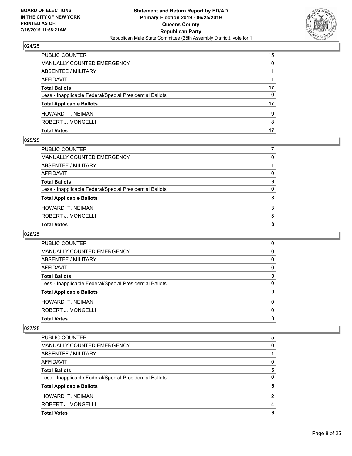

| PUBLIC COUNTER                                           | 15 |
|----------------------------------------------------------|----|
| <b>MANUALLY COUNTED EMERGENCY</b>                        | 0  |
| ABSENTEE / MILITARY                                      |    |
| AFFIDAVIT                                                |    |
| <b>Total Ballots</b>                                     | 17 |
| Less - Inapplicable Federal/Special Presidential Ballots | 0  |
| <b>Total Applicable Ballots</b>                          | 17 |
| HOWARD T. NEIMAN                                         | 9  |
| ROBERT J. MONGELLI                                       | 8  |
| <b>Total Votes</b>                                       |    |

## **025/25**

| PUBLIC COUNTER                                           |          |
|----------------------------------------------------------|----------|
| <b>MANUALLY COUNTED EMERGENCY</b>                        | 0        |
| ABSENTEE / MILITARY                                      |          |
| <b>AFFIDAVIT</b>                                         | $\Omega$ |
| <b>Total Ballots</b>                                     | 8        |
| Less - Inapplicable Federal/Special Presidential Ballots | $\Omega$ |
| <b>Total Applicable Ballots</b>                          | 8        |
| HOWARD T. NEIMAN                                         | 3        |
| ROBERT J. MONGELLI                                       | 5        |
| <b>Total Votes</b>                                       | 8        |
|                                                          |          |

## **026/25**

| <b>PUBLIC COUNTER</b>                                    | 0        |
|----------------------------------------------------------|----------|
| MANUALLY COUNTED EMERGENCY                               | 0        |
| ABSENTEE / MILITARY                                      | 0        |
| AFFIDAVIT                                                | 0        |
| <b>Total Ballots</b>                                     | 0        |
| Less - Inapplicable Federal/Special Presidential Ballots | 0        |
| <b>Total Applicable Ballots</b>                          | 0        |
| <b>HOWARD T. NEIMAN</b>                                  | 0        |
| ROBERT J. MONGELLI                                       | $\Omega$ |
| <b>Total Votes</b>                                       | 0        |

| PUBLIC COUNTER                                           | 5 |
|----------------------------------------------------------|---|
| MANUALLY COUNTED EMERGENCY                               | 0 |
| ABSENTEE / MILITARY                                      |   |
| AFFIDAVIT                                                | 0 |
| <b>Total Ballots</b>                                     | 6 |
| Less - Inapplicable Federal/Special Presidential Ballots | 0 |
| <b>Total Applicable Ballots</b>                          | 6 |
| HOWARD T. NEIMAN                                         | 2 |
| ROBERT J. MONGELLI                                       | 4 |
| <b>Total Votes</b>                                       | 6 |
|                                                          |   |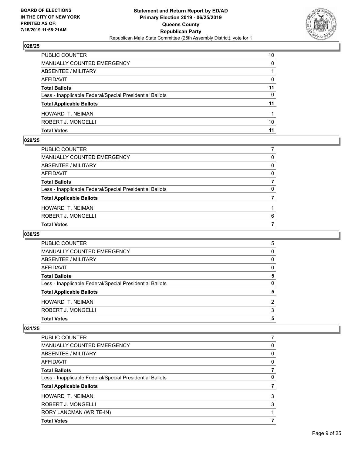

| <b>PUBLIC COUNTER</b>                                    | 10 |
|----------------------------------------------------------|----|
| <b>MANUALLY COUNTED EMERGENCY</b>                        | 0  |
| ABSENTEE / MILITARY                                      |    |
| AFFIDAVIT                                                | 0  |
| <b>Total Ballots</b>                                     | 11 |
| Less - Inapplicable Federal/Special Presidential Ballots | 0  |
| <b>Total Applicable Ballots</b>                          | 11 |
| HOWARD T. NEIMAN                                         |    |
| ROBERT J. MONGELLI                                       | 10 |
| <b>Total Votes</b>                                       | 11 |

#### **029/25**

| PUBLIC COUNTER                                           |          |
|----------------------------------------------------------|----------|
| MANUALLY COUNTED EMERGENCY                               | 0        |
| ABSENTEE / MILITARY                                      | 0        |
| AFFIDAVIT                                                | 0        |
| Total Ballots                                            |          |
| Less - Inapplicable Federal/Special Presidential Ballots | $\Omega$ |
| <b>Total Applicable Ballots</b>                          |          |
| HOWARD T. NEIMAN                                         |          |
| ROBERT J. MONGELLI                                       | 6        |
| <b>Total Votes</b>                                       |          |
|                                                          |          |

## **030/25**

| HOWARD T. NEIMAN                                         | 2 |
|----------------------------------------------------------|---|
| <b>Total Applicable Ballots</b>                          | 5 |
|                                                          |   |
| Less - Inapplicable Federal/Special Presidential Ballots | 0 |
| <b>Total Ballots</b>                                     | 5 |
| AFFIDAVIT                                                | 0 |
| ABSENTEE / MILITARY                                      | 0 |
| MANUALLY COUNTED EMERGENCY                               | 0 |
| PUBLIC COUNTER                                           | 5 |

| <b>Total Votes</b>                                       |   |
|----------------------------------------------------------|---|
| RORY LANCMAN (WRITE-IN)                                  |   |
| ROBERT J. MONGELLI                                       | 3 |
| <b>HOWARD T. NEIMAN</b>                                  | 3 |
| <b>Total Applicable Ballots</b>                          |   |
| Less - Inapplicable Federal/Special Presidential Ballots | 0 |
| <b>Total Ballots</b>                                     | 7 |
| AFFIDAVIT                                                | 0 |
| ABSENTEE / MILITARY                                      | 0 |
| MANUALLY COUNTED EMERGENCY                               | 0 |
| PUBLIC COUNTER                                           |   |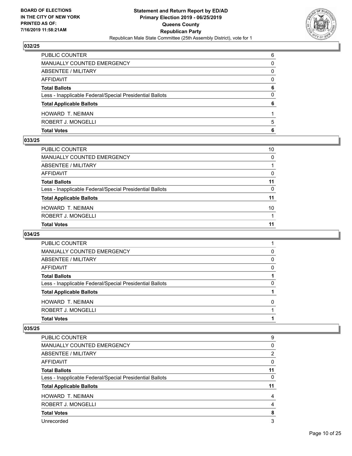

| <b>Total Votes</b>                                       | 6        |
|----------------------------------------------------------|----------|
| ROBERT J. MONGELLI                                       | 5        |
| <b>HOWARD T. NEIMAN</b>                                  |          |
| <b>Total Applicable Ballots</b>                          | 6        |
| Less - Inapplicable Federal/Special Presidential Ballots | 0        |
| <b>Total Ballots</b>                                     | 6        |
| <b>AFFIDAVIT</b>                                         | $\Omega$ |
| <b>ABSENTEE / MILITARY</b>                               | 0        |
| MANUALLY COUNTED EMERGENCY                               | 0        |
| PUBLIC COUNTER                                           | 6        |

#### **033/25**

| PUBLIC COUNTER                                           | 10           |
|----------------------------------------------------------|--------------|
| MANUALLY COUNTED EMERGENCY                               | $\Omega$     |
| ABSENTEE / MILITARY                                      |              |
| AFFIDAVIT                                                | 0            |
| <b>Total Ballots</b>                                     | 11           |
| Less - Inapplicable Federal/Special Presidential Ballots | $\mathbf{0}$ |
| <b>Total Applicable Ballots</b>                          | 11           |
| HOWARD T. NEIMAN                                         | 10           |
| ROBERT J. MONGELLI                                       |              |
| <b>Total Votes</b>                                       | 11           |
|                                                          |              |

## **034/25**

| <b>Total Votes</b>                                       |   |
|----------------------------------------------------------|---|
| ROBERT J. MONGELLI                                       |   |
| <b>HOWARD T. NEIMAN</b>                                  | 0 |
| <b>Total Applicable Ballots</b>                          |   |
| Less - Inapplicable Federal/Special Presidential Ballots | 0 |
| <b>Total Ballots</b>                                     |   |
| AFFIDAVIT                                                | 0 |
| ABSENTEE / MILITARY                                      | 0 |
| MANUALLY COUNTED EMERGENCY                               | 0 |
| PUBLIC COUNTER                                           |   |

| PUBLIC COUNTER                                           | 9  |
|----------------------------------------------------------|----|
| <b>MANUALLY COUNTED EMERGENCY</b>                        | 0  |
| <b>ABSENTEE / MILITARY</b>                               | 2  |
| AFFIDAVIT                                                | 0  |
| <b>Total Ballots</b>                                     | 11 |
| Less - Inapplicable Federal/Special Presidential Ballots | 0  |
| <b>Total Applicable Ballots</b>                          | 11 |
| <b>HOWARD T. NEIMAN</b>                                  | 4  |
| ROBERT J. MONGELLI                                       | 4  |
| <b>Total Votes</b>                                       | 8  |
| Unrecorded                                               | 3  |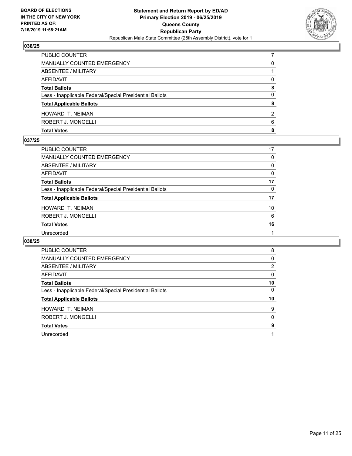

| MANUALLY COUNTED EMERGENCY                               | 0             |
|----------------------------------------------------------|---------------|
| ABSENTEE / MILITARY                                      |               |
| AFFIDAVIT                                                | <sup>0</sup>  |
| <b>Total Ballots</b>                                     | 8             |
| Less - Inapplicable Federal/Special Presidential Ballots | 0             |
| <b>Total Applicable Ballots</b>                          | 8             |
| HOWARD T. NEIMAN                                         | $\mathcal{P}$ |
| ROBERT J. MONGELLI                                       | 6             |
| <b>Total Votes</b>                                       | 8             |

#### **037/25**

| <b>PUBLIC COUNTER</b>                                    | 17       |
|----------------------------------------------------------|----------|
| <b>MANUALLY COUNTED EMERGENCY</b>                        | 0        |
| <b>ABSENTEE / MILITARY</b>                               | 0        |
| <b>AFFIDAVIT</b>                                         | 0        |
| <b>Total Ballots</b>                                     | 17       |
| Less - Inapplicable Federal/Special Presidential Ballots | $\Omega$ |
| <b>Total Applicable Ballots</b>                          | 17       |
| <b>HOWARD T. NEIMAN</b>                                  | 10       |
| ROBERT J. MONGELLI                                       | 6        |
| <b>Total Votes</b>                                       | 16       |
| Unrecorded                                               |          |
|                                                          |          |

| <b>PUBLIC COUNTER</b>                                    | 8        |
|----------------------------------------------------------|----------|
| MANUALLY COUNTED EMERGENCY                               | 0        |
| ABSENTEE / MILITARY                                      | 2        |
| AFFIDAVIT                                                | $\Omega$ |
| <b>Total Ballots</b>                                     | 10       |
| Less - Inapplicable Federal/Special Presidential Ballots | 0        |
| <b>Total Applicable Ballots</b>                          | 10       |
| HOWARD T. NEIMAN                                         | 9        |
| ROBERT J. MONGELLI                                       | 0        |
| <b>Total Votes</b>                                       | 9        |
| Unrecorded                                               |          |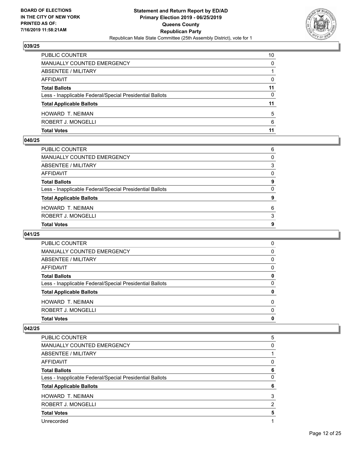

| <b>PUBLIC COUNTER</b>                                    | 10 |
|----------------------------------------------------------|----|
| <b>MANUALLY COUNTED EMERGENCY</b>                        | 0  |
| ABSENTEE / MILITARY                                      |    |
| AFFIDAVIT                                                | 0  |
| <b>Total Ballots</b>                                     | 11 |
| Less - Inapplicable Federal/Special Presidential Ballots | 0  |
| <b>Total Applicable Ballots</b>                          | 11 |
| HOWARD T. NEIMAN                                         | 5  |
| ROBERT J. MONGELLI                                       | 6  |
| <b>Total Votes</b>                                       | 11 |

## **040/25**

| PUBLIC COUNTER                                           | 6            |
|----------------------------------------------------------|--------------|
| MANUALLY COUNTED EMERGENCY                               | $\Omega$     |
| ABSENTEE / MILITARY                                      | 3            |
| AFFIDAVIT                                                | $\Omega$     |
| <b>Total Ballots</b>                                     | 9            |
| Less - Inapplicable Federal/Special Presidential Ballots | $\mathbf{0}$ |
| <b>Total Applicable Ballots</b>                          | 9            |
| HOWARD T. NEIMAN                                         | 6            |
| ROBERT J. MONGELLI                                       | 3            |
| <b>Total Votes</b>                                       | 9            |
|                                                          |              |

## **041/25**

| <b>Total Votes</b>                                       | 0 |
|----------------------------------------------------------|---|
| ROBERT J. MONGELLI                                       | 0 |
| <b>HOWARD T. NEIMAN</b>                                  | 0 |
| <b>Total Applicable Ballots</b>                          | 0 |
| Less - Inapplicable Federal/Special Presidential Ballots | 0 |
| <b>Total Ballots</b>                                     | 0 |
| AFFIDAVIT                                                | 0 |
| ABSENTEE / MILITARY                                      | 0 |
| <b>MANUALLY COUNTED EMERGENCY</b>                        | 0 |
| <b>PUBLIC COUNTER</b>                                    | 0 |

| PUBLIC COUNTER                                           | 5 |
|----------------------------------------------------------|---|
| <b>MANUALLY COUNTED EMERGENCY</b>                        | 0 |
| ABSENTEE / MILITARY                                      |   |
| AFFIDAVIT                                                | 0 |
| <b>Total Ballots</b>                                     | 6 |
| Less - Inapplicable Federal/Special Presidential Ballots | 0 |
| <b>Total Applicable Ballots</b>                          | 6 |
| <b>HOWARD T. NEIMAN</b>                                  | 3 |
| ROBERT J. MONGELLI                                       | 2 |
| <b>Total Votes</b>                                       | 5 |
| Unrecorded                                               |   |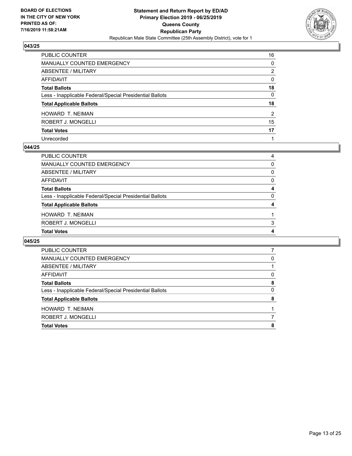

| PUBLIC COUNTER                                           | 16           |
|----------------------------------------------------------|--------------|
| <b>MANUALLY COUNTED EMERGENCY</b>                        | 0            |
| ABSENTEE / MILITARY                                      | 2            |
| <b>AFFIDAVIT</b>                                         | $\mathbf{0}$ |
| <b>Total Ballots</b>                                     | 18           |
| Less - Inapplicable Federal/Special Presidential Ballots | $\mathbf{0}$ |
| <b>Total Applicable Ballots</b>                          | 18           |
| HOWARD T. NEIMAN                                         | 2            |
| ROBERT J. MONGELLI                                       | 15           |
| <b>Total Votes</b>                                       | 17           |
| Unrecorded                                               |              |

#### **044/25**

| PUBLIC COUNTER                                           | 4        |
|----------------------------------------------------------|----------|
| MANUALLY COUNTED EMERGENCY                               | 0        |
| <b>ABSENTEE / MILITARY</b>                               | $\Omega$ |
| AFFIDAVIT                                                | $\Omega$ |
| <b>Total Ballots</b>                                     | 4        |
| Less - Inapplicable Federal/Special Presidential Ballots | $\Omega$ |
| <b>Total Applicable Ballots</b>                          | 4        |
| <b>HOWARD T. NEIMAN</b>                                  |          |
| ROBERT J. MONGELLI                                       | 3        |
| <b>Total Votes</b>                                       | 4        |
|                                                          |          |

| <b>PUBLIC COUNTER</b>                                    |   |
|----------------------------------------------------------|---|
| MANUALLY COUNTED EMERGENCY                               | 0 |
| ABSENTEE / MILITARY                                      |   |
| AFFIDAVIT                                                | 0 |
| <b>Total Ballots</b>                                     | 8 |
| Less - Inapplicable Federal/Special Presidential Ballots | 0 |
| <b>Total Applicable Ballots</b>                          | 8 |
| <b>HOWARD T. NEIMAN</b>                                  |   |
| ROBERT J. MONGELLI                                       |   |
| <b>Total Votes</b>                                       | 8 |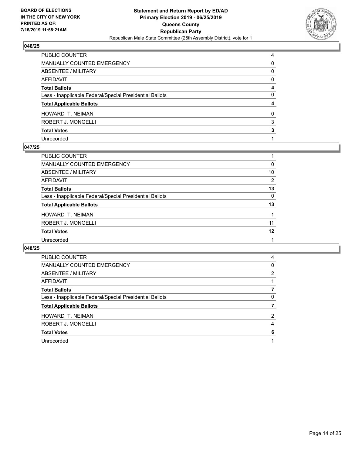

| PUBLIC COUNTER                                           | 4            |
|----------------------------------------------------------|--------------|
| <b>MANUALLY COUNTED EMERGENCY</b>                        | 0            |
| <b>ABSENTEE / MILITARY</b>                               | $\mathbf{0}$ |
| AFFIDAVIT                                                | $\Omega$     |
| <b>Total Ballots</b>                                     | 4            |
| Less - Inapplicable Federal/Special Presidential Ballots | $\Omega$     |
| <b>Total Applicable Ballots</b>                          | 4            |
| HOWARD T. NEIMAN                                         | $\Omega$     |
| ROBERT J. MONGELLI                                       | 3            |
| <b>Total Votes</b>                                       | 3            |
| Unrecorded                                               |              |

#### **047/25**

| PUBLIC COUNTER                                           |          |
|----------------------------------------------------------|----------|
| MANUALLY COUNTED EMERGENCY                               | 0        |
| ABSENTEE / MILITARY                                      | 10       |
| AFFIDAVIT                                                | 2        |
| <b>Total Ballots</b>                                     | 13       |
| Less - Inapplicable Federal/Special Presidential Ballots | $\Omega$ |
| <b>Total Applicable Ballots</b>                          | 13       |
| <b>HOWARD T. NEIMAN</b>                                  |          |
| ROBERT J. MONGELLI                                       | 11       |
| <b>Total Votes</b>                                       | 12       |
| Unrecorded                                               |          |
|                                                          |          |

| PUBLIC COUNTER                                           | 4              |
|----------------------------------------------------------|----------------|
| <b>MANUALLY COUNTED EMERGENCY</b>                        | 0              |
| ABSENTEE / MILITARY                                      | $\overline{2}$ |
| AFFIDAVIT                                                |                |
| <b>Total Ballots</b>                                     |                |
| Less - Inapplicable Federal/Special Presidential Ballots | 0              |
| <b>Total Applicable Ballots</b>                          |                |
| <b>HOWARD T. NEIMAN</b>                                  | 2              |
| ROBERT J. MONGELLI                                       | 4              |
| <b>Total Votes</b>                                       | 6              |
| Unrecorded                                               |                |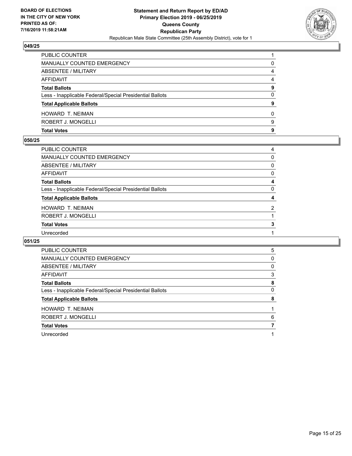

| <b>Total Votes</b>                                       | 9 |
|----------------------------------------------------------|---|
| ROBERT J. MONGELLI                                       | 9 |
| <b>HOWARD T. NEIMAN</b>                                  | 0 |
| <b>Total Applicable Ballots</b>                          | 9 |
| Less - Inapplicable Federal/Special Presidential Ballots | 0 |
| <b>Total Ballots</b>                                     | 9 |
| AFFIDAVIT                                                | 4 |
| <b>ABSENTEE / MILITARY</b>                               | 4 |
| MANUALLY COUNTED EMERGENCY                               | 0 |
| PUBLIC COUNTER                                           |   |

#### **050/25**

| PUBLIC COUNTER                                           | 4              |
|----------------------------------------------------------|----------------|
| <b>MANUALLY COUNTED EMERGENCY</b>                        | $\Omega$       |
| ABSENTEE / MILITARY                                      | 0              |
| AFFIDAVIT                                                | 0              |
| <b>Total Ballots</b>                                     | 4              |
| Less - Inapplicable Federal/Special Presidential Ballots | $\Omega$       |
| <b>Total Applicable Ballots</b>                          | 4              |
| HOWARD T. NEIMAN                                         | $\overline{2}$ |
| ROBERT J. MONGELLI                                       |                |
| <b>Total Votes</b>                                       | 3              |
| Unrecorded                                               |                |
|                                                          |                |

| <b>PUBLIC COUNTER</b>                                    | 5 |
|----------------------------------------------------------|---|
| MANUALLY COUNTED EMERGENCY                               | 0 |
| ABSENTEE / MILITARY                                      | 0 |
| AFFIDAVIT                                                | 3 |
| <b>Total Ballots</b>                                     | 8 |
| Less - Inapplicable Federal/Special Presidential Ballots | 0 |
| <b>Total Applicable Ballots</b>                          | 8 |
| HOWARD T. NEIMAN                                         |   |
| ROBERT J. MONGELLI                                       | 6 |
| <b>Total Votes</b>                                       |   |
| Unrecorded                                               |   |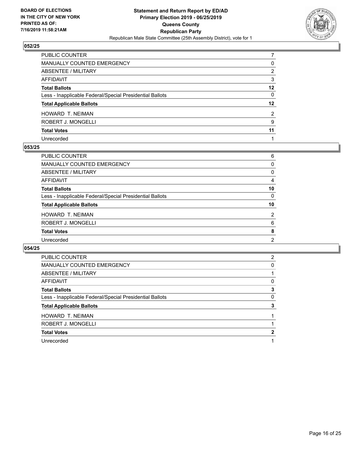

| PUBLIC COUNTER                                           |          |
|----------------------------------------------------------|----------|
| <b>MANUALLY COUNTED EMERGENCY</b>                        | 0        |
| ABSENTEE / MILITARY                                      | 2        |
| <b>AFFIDAVIT</b>                                         | 3        |
| <b>Total Ballots</b>                                     | 12       |
| Less - Inapplicable Federal/Special Presidential Ballots | $\Omega$ |
| <b>Total Applicable Ballots</b>                          | $12 \,$  |
| HOWARD T. NEIMAN                                         | 2        |
| ROBERT J. MONGELLI                                       | 9        |
| <b>Total Votes</b>                                       | 11       |
| Unrecorded                                               |          |

#### **053/25**

| <b>PUBLIC COUNTER</b>                                    | 6              |
|----------------------------------------------------------|----------------|
| <b>MANUALLY COUNTED EMERGENCY</b>                        | 0              |
| ABSENTEE / MILITARY                                      | 0              |
| <b>AFFIDAVIT</b>                                         | 4              |
| <b>Total Ballots</b>                                     | 10             |
| Less - Inapplicable Federal/Special Presidential Ballots | $\Omega$       |
| <b>Total Applicable Ballots</b>                          | 10             |
| <b>HOWARD T. NEIMAN</b>                                  | 2              |
| ROBERT J. MONGELLI                                       | 6              |
| <b>Total Votes</b>                                       | 8              |
| Unrecorded                                               | $\overline{2}$ |
|                                                          |                |

| PUBLIC COUNTER                                           | 2 |
|----------------------------------------------------------|---|
| <b>MANUALLY COUNTED EMERGENCY</b>                        | 0 |
| ABSENTEE / MILITARY                                      |   |
| <b>AFFIDAVIT</b>                                         | 0 |
| <b>Total Ballots</b>                                     | 3 |
| Less - Inapplicable Federal/Special Presidential Ballots | 0 |
| <b>Total Applicable Ballots</b>                          | 3 |
| <b>HOWARD T. NEIMAN</b>                                  |   |
|                                                          |   |
| ROBERT J. MONGELLI                                       |   |
| <b>Total Votes</b>                                       | 2 |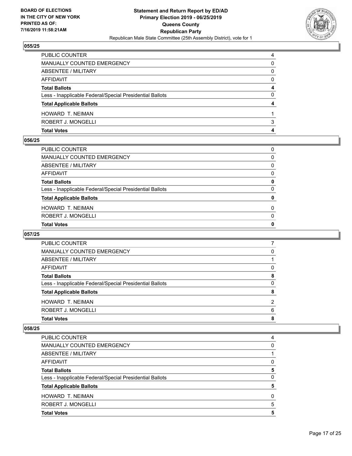

| <b>Total Votes</b>                                       | 4        |
|----------------------------------------------------------|----------|
| ROBERT J. MONGELLI                                       | 3        |
| HOWARD T. NEIMAN                                         |          |
| <b>Total Applicable Ballots</b>                          |          |
| Less - Inapplicable Federal/Special Presidential Ballots | 0        |
| <b>Total Ballots</b>                                     | 4        |
| AFFIDAVIT                                                | $\Omega$ |
| ABSENTEE / MILITARY                                      | 0        |
| <b>MANUALLY COUNTED EMERGENCY</b>                        | 0        |
| PUBLIC COUNTER                                           | 4        |

# **056/25**

| PUBLIC COUNTER                                           | $\Omega$     |
|----------------------------------------------------------|--------------|
| MANUALLY COUNTED EMERGENCY                               | 0            |
| ABSENTEE / MILITARY                                      | $\Omega$     |
| AFFIDAVIT                                                | $\Omega$     |
| Total Ballots                                            | 0            |
| Less - Inapplicable Federal/Special Presidential Ballots | $\mathbf{0}$ |
| <b>Total Applicable Ballots</b>                          | 0            |
| HOWARD T. NEIMAN                                         | $\Omega$     |
| ROBERT J. MONGELLI                                       | $\mathbf{0}$ |
| <b>Total Votes</b>                                       | 0            |
|                                                          |              |

## **057/25**

| PUBLIC COUNTER                                           |   |
|----------------------------------------------------------|---|
| MANUALLY COUNTED EMERGENCY                               | 0 |
| ABSENTEE / MILITARY                                      |   |
| AFFIDAVIT                                                | 0 |
| <b>Total Ballots</b>                                     | 8 |
| Less - Inapplicable Federal/Special Presidential Ballots | 0 |
| <b>Total Applicable Ballots</b>                          | 8 |
| HOWARD T. NEIMAN                                         | 2 |
| ROBERT J. MONGELLI                                       | 6 |
| <b>Total Votes</b>                                       | 8 |
|                                                          |   |

| <b>Total Votes</b>                                       | 5 |
|----------------------------------------------------------|---|
| ROBERT J. MONGELLI                                       | 5 |
| <b>HOWARD T. NEIMAN</b>                                  | 0 |
| <b>Total Applicable Ballots</b>                          | 5 |
| Less - Inapplicable Federal/Special Presidential Ballots | 0 |
| <b>Total Ballots</b>                                     | 5 |
| AFFIDAVIT                                                | 0 |
| ABSENTEE / MILITARY                                      |   |
| <b>MANUALLY COUNTED EMERGENCY</b>                        | 0 |
| PUBLIC COUNTER                                           | 4 |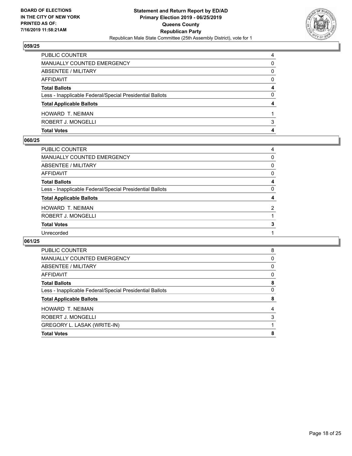

| PUBLIC COUNTER                                           | 4        |
|----------------------------------------------------------|----------|
| MANUALLY COUNTED EMERGENCY                               | 0        |
| ABSENTEE / MILITARY                                      | 0        |
| AFFIDAVIT                                                | $\Omega$ |
| <b>Total Ballots</b>                                     | 4        |
| Less - Inapplicable Federal/Special Presidential Ballots | 0        |
| <b>Total Applicable Ballots</b>                          | 4        |
| HOWARD T. NEIMAN                                         |          |
| ROBERT J. MONGELLI                                       | 3        |
| <b>Total Votes</b>                                       | 4        |

#### **060/25**

| PUBLIC COUNTER                                           | 4        |
|----------------------------------------------------------|----------|
| <b>MANUALLY COUNTED EMERGENCY</b>                        | 0        |
| <b>ABSENTEE / MILITARY</b>                               | 0        |
| AFFIDAVIT                                                | 0        |
| <b>Total Ballots</b>                                     | 4        |
| Less - Inapplicable Federal/Special Presidential Ballots | $\Omega$ |
| <b>Total Applicable Ballots</b>                          | 4        |
| HOWARD T. NEIMAN                                         | 2        |
| ROBERT J. MONGELLI                                       |          |
| <b>Total Votes</b>                                       | 3        |
| Unrecorded                                               |          |
|                                                          |          |

| <b>PUBLIC COUNTER</b>                                    | 8 |
|----------------------------------------------------------|---|
| MANUALLY COUNTED EMERGENCY                               | 0 |
| ABSENTEE / MILITARY                                      | 0 |
| AFFIDAVIT                                                | 0 |
| <b>Total Ballots</b>                                     | 8 |
| Less - Inapplicable Federal/Special Presidential Ballots | 0 |
| <b>Total Applicable Ballots</b>                          | 8 |
| <b>HOWARD T. NEIMAN</b>                                  | 4 |
| ROBERT J. MONGELLI                                       | 3 |
| GREGORY L. LASAK (WRITE-IN)                              |   |
| <b>Total Votes</b>                                       | 8 |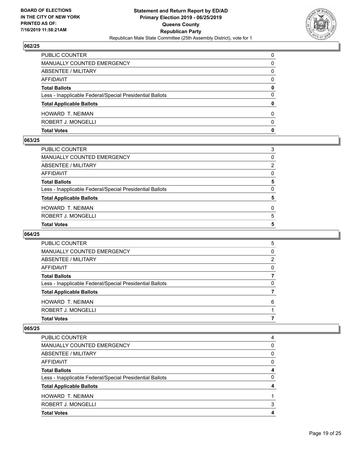

| <b>Total Votes</b>                                       | 0        |
|----------------------------------------------------------|----------|
| ROBERT J. MONGELLI                                       | 0        |
| HOWARD T. NEIMAN                                         | 0        |
| <b>Total Applicable Ballots</b>                          | 0        |
| Less - Inapplicable Federal/Special Presidential Ballots | 0        |
| <b>Total Ballots</b>                                     | 0        |
| AFFIDAVIT                                                | $\Omega$ |
| ABSENTEE / MILITARY                                      | 0        |
| MANUALLY COUNTED EMERGENCY                               | 0        |
| PUBLIC COUNTER                                           | $\Omega$ |

## **063/25**

| PUBLIC COUNTER                                           | 3            |
|----------------------------------------------------------|--------------|
| MANUALLY COUNTED EMERGENCY                               | 0            |
| ABSENTEE / MILITARY                                      | 2            |
| AFFIDAVIT                                                | $\Omega$     |
| Total Ballots                                            | 5            |
| Less - Inapplicable Federal/Special Presidential Ballots | $\mathbf{0}$ |
| <b>Total Applicable Ballots</b>                          | 5            |
| HOWARD T. NEIMAN                                         | $\Omega$     |
| ROBERT J. MONGELLI                                       | 5            |
| <b>Total Votes</b>                                       | 5            |
|                                                          |              |

## **064/25**

| <b>PUBLIC COUNTER</b>                                    | 5 |
|----------------------------------------------------------|---|
| MANUALLY COUNTED EMERGENCY                               | 0 |
| ABSENTEE / MILITARY                                      | 2 |
| AFFIDAVIT                                                | 0 |
| <b>Total Ballots</b>                                     |   |
| Less - Inapplicable Federal/Special Presidential Ballots | 0 |
| <b>Total Applicable Ballots</b>                          |   |
| HOWARD T. NEIMAN                                         | 6 |
| ROBERT J. MONGELLI                                       |   |
| <b>Total Votes</b>                                       |   |
|                                                          |   |

| PUBLIC COUNTER                                           | 4 |
|----------------------------------------------------------|---|
| MANUALLY COUNTED EMERGENCY                               | 0 |
| ABSENTEE / MILITARY                                      | 0 |
| AFFIDAVIT                                                | 0 |
| <b>Total Ballots</b>                                     | 4 |
| Less - Inapplicable Federal/Special Presidential Ballots | 0 |
| <b>Total Applicable Ballots</b>                          |   |
| HOWARD T. NEIMAN                                         |   |
| ROBERT J. MONGELLI                                       | 3 |
| <b>Total Votes</b>                                       |   |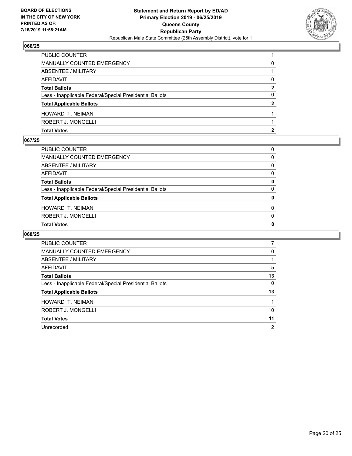

| <b>Total Votes</b>                                       |              |
|----------------------------------------------------------|--------------|
| ROBERT J. MONGELLI                                       |              |
| <b>HOWARD T. NEIMAN</b>                                  |              |
| <b>Total Applicable Ballots</b>                          | $\mathbf{2}$ |
| Less - Inapplicable Federal/Special Presidential Ballots | 0            |
| <b>Total Ballots</b>                                     | 2            |
| AFFIDAVIT                                                | 0            |
| <b>ABSENTEE / MILITARY</b>                               |              |
| MANUALLY COUNTED EMERGENCY                               | 0            |
| PUBLIC COUNTER                                           |              |

#### **067/25**

| PUBLIC COUNTER                                           | 0            |
|----------------------------------------------------------|--------------|
| MANUALLY COUNTED EMERGENCY                               | $\Omega$     |
| <b>ABSENTEE / MILITARY</b>                               | $\Omega$     |
| <b>AFFIDAVIT</b>                                         | $\Omega$     |
| <b>Total Ballots</b>                                     | 0            |
| Less - Inapplicable Federal/Special Presidential Ballots | $\Omega$     |
| <b>Total Applicable Ballots</b>                          | 0            |
| HOWARD T. NEIMAN                                         | $\Omega$     |
| ROBERT J. MONGELLI                                       | $\Omega$     |
| <b>Total Votes</b>                                       | $\mathbf{0}$ |

| <b>PUBLIC COUNTER</b>                                    |    |
|----------------------------------------------------------|----|
| <b>MANUALLY COUNTED EMERGENCY</b>                        | 0  |
| ABSENTEE / MILITARY                                      |    |
| AFFIDAVIT                                                | 5  |
| <b>Total Ballots</b>                                     | 13 |
| Less - Inapplicable Federal/Special Presidential Ballots | 0  |
| <b>Total Applicable Ballots</b>                          | 13 |
| HOWARD T. NEIMAN                                         |    |
| ROBERT J. MONGELLI                                       | 10 |
| <b>Total Votes</b>                                       | 11 |
| Unrecorded                                               | 2  |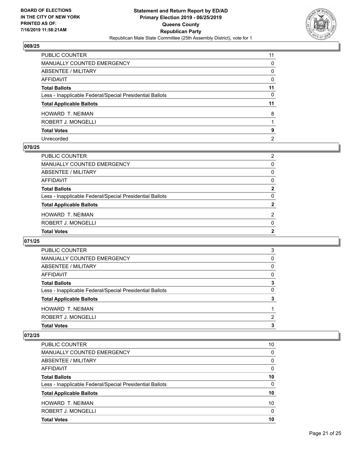

| PUBLIC COUNTER                                           | 11             |
|----------------------------------------------------------|----------------|
| <b>MANUALLY COUNTED EMERGENCY</b>                        | 0              |
| ABSENTEE / MILITARY                                      | $\mathbf{0}$   |
| AFFIDAVIT                                                | $\Omega$       |
| <b>Total Ballots</b>                                     | 11             |
| Less - Inapplicable Federal/Special Presidential Ballots | 0              |
| <b>Total Applicable Ballots</b>                          | 11             |
| HOWARD T. NEIMAN                                         | 8              |
| ROBERT J. MONGELLI                                       |                |
| <b>Total Votes</b>                                       | 9              |
| Unrecorded                                               | $\overline{2}$ |

#### **070/25**

| PUBLIC COUNTER                                           | $\overline{2}$ |
|----------------------------------------------------------|----------------|
| <b>MANUALLY COUNTED EMERGENCY</b>                        | 0              |
| ABSENTEE / MILITARY                                      | $\Omega$       |
| AFFIDAVIT                                                | 0              |
| <b>Total Ballots</b>                                     | $\mathbf{2}$   |
| Less - Inapplicable Federal/Special Presidential Ballots | $\Omega$       |
| <b>Total Applicable Ballots</b>                          | $\mathbf{2}$   |
| <b>HOWARD T. NEIMAN</b>                                  | $\mathcal{P}$  |
| ROBERT J. MONGELLI                                       | $\Omega$       |
| <b>Total Votes</b>                                       | 2              |
|                                                          |                |

## **071/25**

| <b>PUBLIC COUNTER</b>                                    | 3 |
|----------------------------------------------------------|---|
| <b>MANUALLY COUNTED EMERGENCY</b>                        | 0 |
| ABSENTEE / MILITARY                                      | 0 |
| AFFIDAVIT                                                | 0 |
| <b>Total Ballots</b>                                     | 3 |
| Less - Inapplicable Federal/Special Presidential Ballots | 0 |
| <b>Total Applicable Ballots</b>                          | 3 |
| HOWARD T. NEIMAN                                         |   |
| ROBERT J. MONGELLI                                       | 2 |
| <b>Total Votes</b>                                       | 3 |

| PUBLIC COUNTER                                           | 10       |
|----------------------------------------------------------|----------|
| MANUALLY COUNTED EMERGENCY                               | 0        |
| ABSENTEE / MILITARY                                      | $\Omega$ |
| <b>AFFIDAVIT</b>                                         | $\Omega$ |
| <b>Total Ballots</b>                                     | 10       |
| Less - Inapplicable Federal/Special Presidential Ballots | $\Omega$ |
| <b>Total Applicable Ballots</b>                          | 10       |
| HOWARD T. NEIMAN                                         | 10       |
| ROBERT J. MONGELLI                                       | $\Omega$ |
| <b>Total Votes</b>                                       | 10       |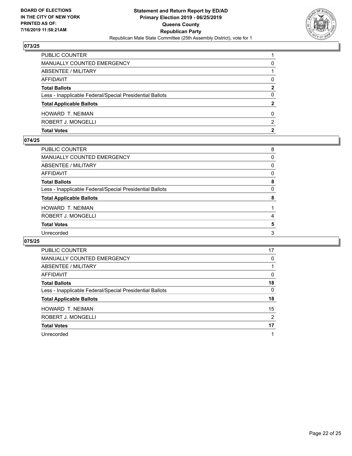

| PUBLIC COUNTER                                           |              |
|----------------------------------------------------------|--------------|
| MANUALLY COUNTED EMERGENCY                               | 0            |
| <b>ABSENTEE / MILITARY</b>                               |              |
| AFFIDAVIT                                                | 0            |
| <b>Total Ballots</b>                                     | 2            |
| Less - Inapplicable Federal/Special Presidential Ballots | 0            |
| <b>Total Applicable Ballots</b>                          | $\mathbf{2}$ |
| HOWARD T. NEIMAN                                         | 0            |
| ROBERT J. MONGELLI                                       | 2            |
| <b>Total Votes</b>                                       | 2            |

#### **074/25**

| PUBLIC COUNTER                                           | 8        |
|----------------------------------------------------------|----------|
| <b>MANUALLY COUNTED EMERGENCY</b>                        | 0        |
| <b>ABSENTEE / MILITARY</b>                               | 0        |
| AFFIDAVIT                                                | $\Omega$ |
| <b>Total Ballots</b>                                     | 8        |
| Less - Inapplicable Federal/Special Presidential Ballots | $\Omega$ |
| <b>Total Applicable Ballots</b>                          | 8        |
| HOWARD T. NEIMAN                                         |          |
| ROBERT J. MONGELLI                                       | 4        |
| <b>Total Votes</b>                                       | 5        |
| Unrecorded                                               | 3        |
|                                                          |          |

| <b>PUBLIC COUNTER</b>                                    | 17 |
|----------------------------------------------------------|----|
| <b>MANUALLY COUNTED EMERGENCY</b>                        | 0  |
| ABSENTEE / MILITARY                                      |    |
| <b>AFFIDAVIT</b>                                         | 0  |
| <b>Total Ballots</b>                                     | 18 |
| Less - Inapplicable Federal/Special Presidential Ballots | 0  |
| <b>Total Applicable Ballots</b>                          | 18 |
| <b>HOWARD T. NEIMAN</b>                                  | 15 |
| ROBERT J. MONGELLI                                       | 2  |
| <b>Total Votes</b>                                       | 17 |
| Unrecorded                                               |    |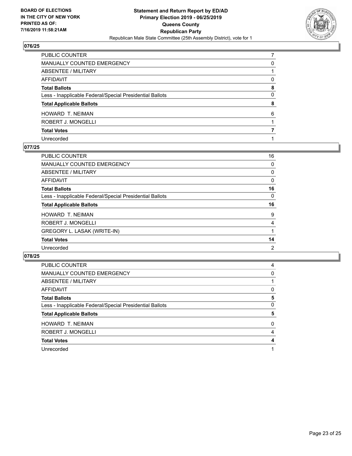

| PUBLIC COUNTER                                           |              |
|----------------------------------------------------------|--------------|
| MANUALLY COUNTED EMERGENCY                               | 0            |
| <b>ABSENTEE / MILITARY</b>                               |              |
| AFFIDAVIT                                                | $\Omega$     |
| Total Ballots                                            | 8            |
| Less - Inapplicable Federal/Special Presidential Ballots | $\mathbf{0}$ |
| <b>Total Applicable Ballots</b>                          | 8            |
| HOWARD T. NEIMAN                                         | 6            |
| ROBERT J. MONGELLI                                       |              |
| <b>Total Votes</b>                                       |              |
| Unrecorded                                               |              |

#### **077/25**

| <b>PUBLIC COUNTER</b>                                    | 16 |
|----------------------------------------------------------|----|
| <b>MANUALLY COUNTED EMERGENCY</b>                        | 0  |
| ABSENTEE / MILITARY                                      | 0  |
| AFFIDAVIT                                                | 0  |
| <b>Total Ballots</b>                                     | 16 |
| Less - Inapplicable Federal/Special Presidential Ballots | 0  |
| <b>Total Applicable Ballots</b>                          | 16 |
| <b>HOWARD T. NEIMAN</b>                                  | 9  |
| ROBERT J. MONGELLI                                       | 4  |
| GREGORY L. LASAK (WRITE-IN)                              |    |
| <b>Total Votes</b>                                       | 14 |
| Unrecorded                                               | 2  |

| PUBLIC COUNTER                                           | 4 |
|----------------------------------------------------------|---|
| MANUALLY COUNTED EMERGENCY                               | 0 |
| ABSENTEE / MILITARY                                      |   |
| AFFIDAVIT                                                | 0 |
| <b>Total Ballots</b>                                     | 5 |
| Less - Inapplicable Federal/Special Presidential Ballots | 0 |
| <b>Total Applicable Ballots</b>                          | 5 |
| HOWARD T. NEIMAN                                         | 0 |
| ROBERT J. MONGELLI                                       | 4 |
| <b>Total Votes</b>                                       | 4 |
| Unrecorded                                               |   |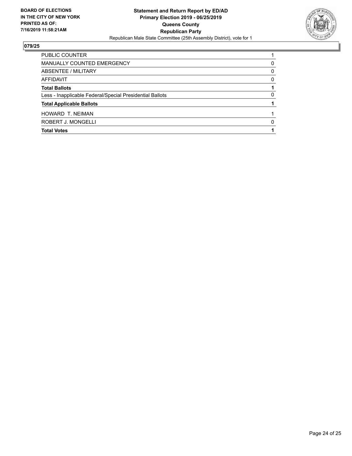

| PUBLIC COUNTER                                           |   |
|----------------------------------------------------------|---|
| MANUALLY COUNTED EMERGENCY                               | 0 |
| ABSENTEE / MILITARY                                      | 0 |
| AFFIDAVIT                                                | 0 |
| <b>Total Ballots</b>                                     |   |
| Less - Inapplicable Federal/Special Presidential Ballots | 0 |
| <b>Total Applicable Ballots</b>                          |   |
| HOWARD T. NEIMAN                                         |   |
| ROBERT J. MONGELLI                                       | 0 |
| <b>Total Votes</b>                                       |   |